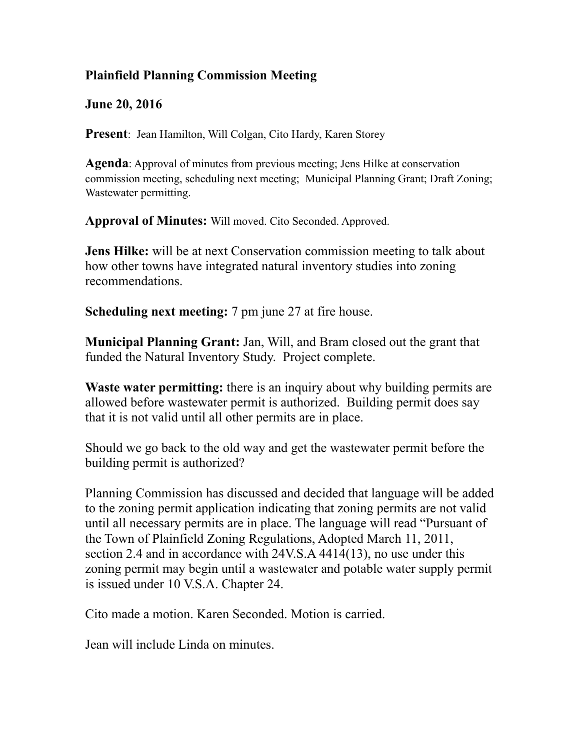## **Plainfield Planning Commission Meeting**

**June 20, 2016** 

**Present**: Jean Hamilton, Will Colgan, Cito Hardy, Karen Storey

**Agenda**: Approval of minutes from previous meeting; Jens Hilke at conservation commission meeting, scheduling next meeting; Municipal Planning Grant; Draft Zoning; Wastewater permitting.

**Approval of Minutes:** Will moved. Cito Seconded. Approved.

**Jens Hilke:** will be at next Conservation commission meeting to talk about how other towns have integrated natural inventory studies into zoning recommendations.

**Scheduling next meeting:** 7 pm june 27 at fire house.

**Municipal Planning Grant:** Jan, Will, and Bram closed out the grant that funded the Natural Inventory Study. Project complete.

**Waste water permitting:** there is an inquiry about why building permits are allowed before wastewater permit is authorized. Building permit does say that it is not valid until all other permits are in place.

Should we go back to the old way and get the wastewater permit before the building permit is authorized?

Planning Commission has discussed and decided that language will be added to the zoning permit application indicating that zoning permits are not valid until all necessary permits are in place. The language will read "Pursuant of the Town of Plainfield Zoning Regulations, Adopted March 11, 2011, section 2.4 and in accordance with 24V.S.A 4414(13), no use under this zoning permit may begin until a wastewater and potable water supply permit is issued under 10 V.S.A. Chapter 24.

Cito made a motion. Karen Seconded. Motion is carried.

Jean will include Linda on minutes.